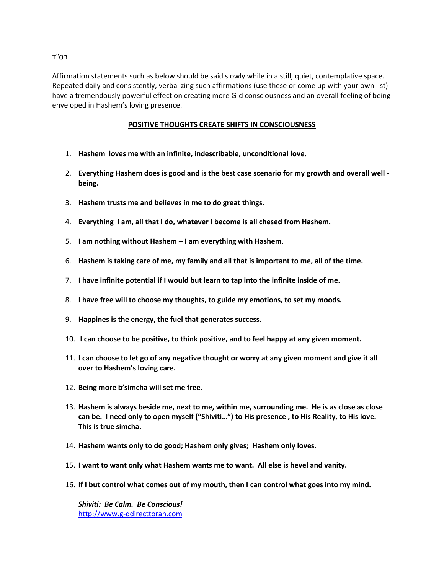## בס"ד

Affirmation statements such as below should be said slowly while in a still, quiet, contemplative space. Repeated daily and consistently, verbalizing such affirmations (use these or come up with your own list) have a tremendously powerful effect on creating more G-d consciousness and an overall feeling of being enveloped in Hashem's loving presence.

## **POSITIVE THOUGHTS CREATE SHIFTS IN CONSCIOUSNESS**

- 1. **Hashem loves me with an infinite, indescribable, unconditional love.**
- 2. **Everything Hashem does is good and is the best case scenario for my growth and overall well being.**
- 3. **Hashem trusts me and believes in me to do great things.**
- 4. **Everything I am, all that I do, whatever I become is all chesed from Hashem.**
- 5. **I am nothing without Hashem – I am everything with Hashem.**
- 6. **Hashem is taking care of me, my family and all that is important to me, all of the time.**
- 7. **I have infinite potential if I would but learn to tap into the infinite inside of me.**
- 8. **I have free will to choose my thoughts, to guide my emotions, to set my moods.**
- 9. **Happines is the energy, the fuel that generates success.**
- 10. **I can choose to be positive, to think positive, and to feel happy at any given moment.**
- 11. **I can choose to let go of any negative thought or worry at any given moment and give it all over to Hashem's loving care.**
- 12. **Being more b'simcha will set me free.**
- 13. **Hashem is always beside me, next to me, within me, surrounding me. He is as close as close can be. I need only to open myself ("Shiviti…") to His presence , to His Reality, to His love. This is true simcha.**
- 14. **Hashem wants only to do good; Hashem only gives; Hashem only loves.**
- 15. **I want to want only what Hashem wants me to want. All else is hevel and vanity.**
- 16. **If I but control what comes out of my mouth, then I can control what goes into my mind.**

*Shiviti: Be Calm. Be Conscious!* http://www.g-ddirecttorah.com